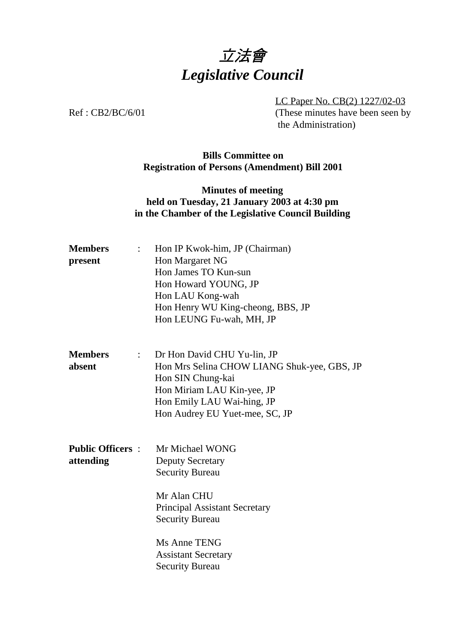# 立法會 *Legislative Council*

LC Paper No. CB(2) 1227/02-03 Ref : CB2/BC/6/01 (These minutes have been seen by the Administration)

## **Bills Committee on Registration of Persons (Amendment) Bill 2001**

## **Minutes of meeting held on Tuesday, 21 January 2003 at 4:30 pm in the Chamber of the Legislative Council Building**

| <b>Members</b><br>present            | Hon IP Kwok-him, JP (Chairman)<br>$\mathbf{L}$<br>Hon Margaret NG<br>Hon James TO Kun-sun<br>Hon Howard YOUNG, JP<br>Hon LAU Kong-wah<br>Hon Henry WU King-cheong, BBS, JP                                      |
|--------------------------------------|-----------------------------------------------------------------------------------------------------------------------------------------------------------------------------------------------------------------|
|                                      | Hon LEUNG Fu-wah, MH, JP                                                                                                                                                                                        |
| <b>Members</b><br>absent             | Dr Hon David CHU Yu-lin, JP<br>$\mathbb{R}^n$<br>Hon Mrs Selina CHOW LIANG Shuk-yee, GBS, JP<br>Hon SIN Chung-kai<br>Hon Miriam LAU Kin-yee, JP<br>Hon Emily LAU Wai-hing, JP<br>Hon Audrey EU Yuet-mee, SC, JP |
| <b>Public Officers:</b><br>attending | Mr Michael WONG<br><b>Deputy Secretary</b><br><b>Security Bureau</b><br>Mr Alan CHU<br><b>Principal Assistant Secretary</b><br><b>Security Bureau</b>                                                           |
|                                      | Ms Anne TENG<br><b>Assistant Secretary</b><br><b>Security Bureau</b>                                                                                                                                            |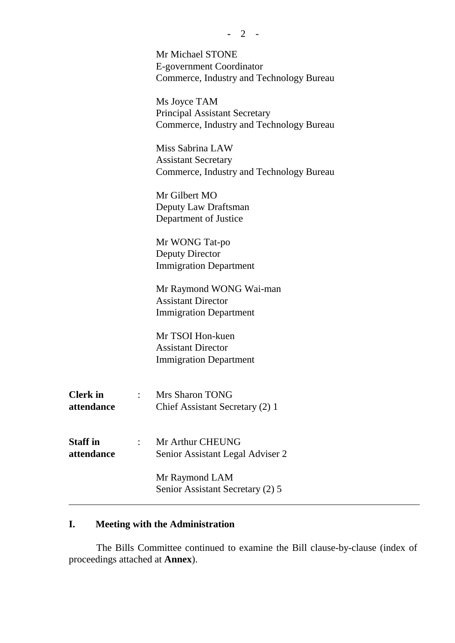|                               | Mr Michael STONE                                                                 |
|-------------------------------|----------------------------------------------------------------------------------|
|                               | E-government Coordinator<br>Commerce, Industry and Technology Bureau             |
|                               | Ms Joyce TAM                                                                     |
|                               | <b>Principal Assistant Secretary</b><br>Commerce, Industry and Technology Bureau |
|                               | Miss Sabrina LAW                                                                 |
|                               | <b>Assistant Secretary</b><br>Commerce, Industry and Technology Bureau           |
|                               | Mr Gilbert MO                                                                    |
|                               | Deputy Law Draftsman<br>Department of Justice                                    |
|                               | Mr WONG Tat-po                                                                   |
|                               | <b>Deputy Director</b><br><b>Immigration Department</b>                          |
|                               | Mr Raymond WONG Wai-man                                                          |
|                               | <b>Assistant Director</b><br><b>Immigration Department</b>                       |
|                               | Mr TSOI Hon-kuen                                                                 |
|                               | <b>Assistant Director</b><br><b>Immigration Department</b>                       |
|                               |                                                                                  |
| <b>Clerk</b> in<br>attendance | : Mrs Sharon TONG<br>Chief Assistant Secretary (2) 1                             |
|                               |                                                                                  |
| <b>Staff</b> in<br>attendance | : Mr Arthur CHEUNG<br>Senior Assistant Legal Adviser 2                           |
|                               |                                                                                  |
|                               | Mr Raymond LAM<br>Senior Assistant Secretary (2) 5                               |
|                               |                                                                                  |

# **I. Meeting with the Administration**

The Bills Committee continued to examine the Bill clause-by-clause (index of proceedings attached at **Annex**).

**-** 2 -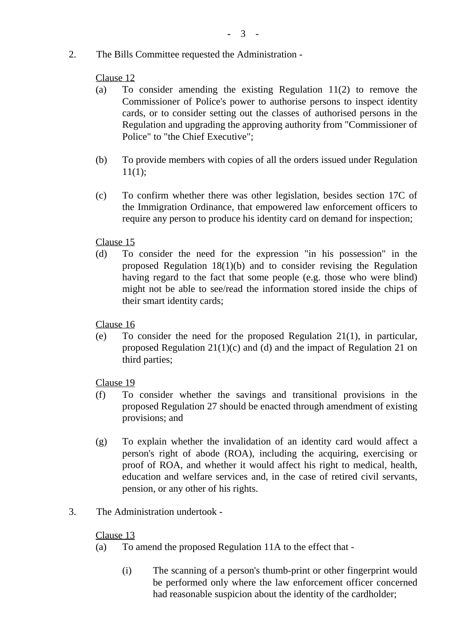2. The Bills Committee requested the Administration -

#### Clause 12

- (a) To consider amending the existing Regulation 11(2) to remove the Commissioner of Police's power to authorise persons to inspect identity cards, or to consider setting out the classes of authorised persons in the Regulation and upgrading the approving authority from "Commissioner of Police" to "the Chief Executive";
- (b) To provide members with copies of all the orders issued under Regulation 11(1);
- (c) To confirm whether there was other legislation, besides section 17C of the Immigration Ordinance, that empowered law enforcement officers to require any person to produce his identity card on demand for inspection;

## Clause 15

(d) To consider the need for the expression "in his possession" in the proposed Regulation 18(1)(b) and to consider revising the Regulation having regard to the fact that some people (e.g. those who were blind) might not be able to see/read the information stored inside the chips of their smart identity cards;

Clause 16

(e) To consider the need for the proposed Regulation 21(1), in particular, proposed Regulation 21(1)(c) and (d) and the impact of Regulation 21 on third parties;

Clause 19

- (f) To consider whether the savings and transitional provisions in the proposed Regulation 27 should be enacted through amendment of existing provisions; and
- (g) To explain whether the invalidation of an identity card would affect a person's right of abode (ROA), including the acquiring, exercising or proof of ROA, and whether it would affect his right to medical, health, education and welfare services and, in the case of retired civil servants, pension, or any other of his rights.
- 3. The Administration undertook -

#### Clause 13

- (a) To amend the proposed Regulation 11A to the effect that
	- (i) The scanning of a person's thumb-print or other fingerprint would be performed only where the law enforcement officer concerned had reasonable suspicion about the identity of the cardholder;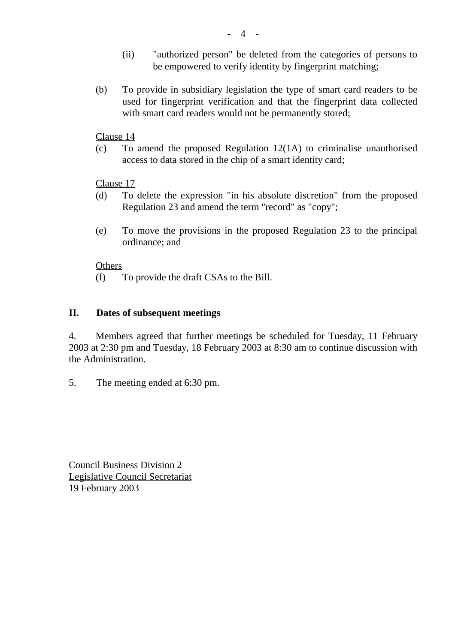- (ii) "authorized person" be deleted from the categories of persons to be empowered to verify identity by fingerprint matching;
- (b) To provide in subsidiary legislation the type of smart card readers to be used for fingerprint verification and that the fingerprint data collected with smart card readers would not be permanently stored:

#### Clause 14

(c) To amend the proposed Regulation 12(1A) to criminalise unauthorised access to data stored in the chip of a smart identity card;

#### Clause 17

- (d) To delete the expression "in his absolute discretion" from the proposed Regulation 23 and amend the term "record" as "copy";
- (e) To move the provisions in the proposed Regulation 23 to the principal ordinance; and

#### **Others**

(f) To provide the draft CSAs to the Bill.

#### **II. Dates of subsequent meetings**

4. Members agreed that further meetings be scheduled for Tuesday, 11 February 2003 at 2:30 pm and Tuesday, 18 February 2003 at 8:30 am to continue discussion with the Administration.

5. The meeting ended at 6:30 pm.

Council Business Division 2 Legislative Council Secretariat 19 February 2003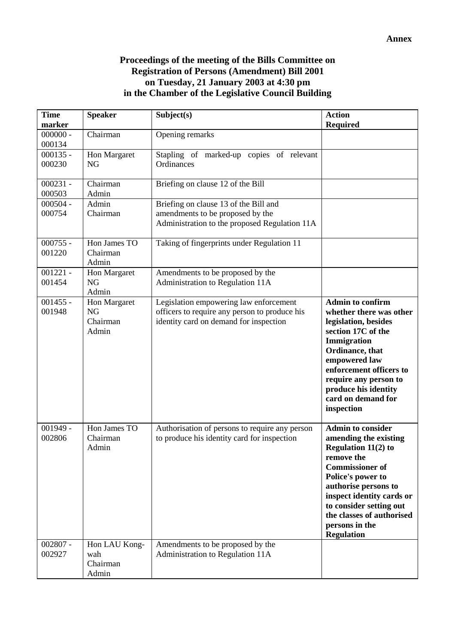#### **Proceedings of the meeting of the Bills Committee on Registration of Persons (Amendment) Bill 2001 on Tuesday, 21 January 2003 at 4:30 pm in the Chamber of the Legislative Council Building**

| <b>Time</b>          | <b>Speaker</b>     | Subject(s)                                                                                    | <b>Action</b>                                        |
|----------------------|--------------------|-----------------------------------------------------------------------------------------------|------------------------------------------------------|
| marker<br>$000000 -$ | Chairman           | Opening remarks                                                                               | <b>Required</b>                                      |
| 000134               |                    |                                                                                               |                                                      |
| $000135 -$           | Hon Margaret       | Stapling of marked-up copies of relevant                                                      |                                                      |
| 000230               | <b>NG</b>          | Ordinances                                                                                    |                                                      |
|                      |                    |                                                                                               |                                                      |
| $000231 -$           | Chairman           | Briefing on clause 12 of the Bill                                                             |                                                      |
| 000503<br>$000504 -$ | Admin<br>Admin     | Briefing on clause 13 of the Bill and                                                         |                                                      |
| 000754               | Chairman           | amendments to be proposed by the                                                              |                                                      |
|                      |                    | Administration to the proposed Regulation 11A                                                 |                                                      |
|                      |                    |                                                                                               |                                                      |
| $000755 -$           | Hon James TO       | Taking of fingerprints under Regulation 11                                                    |                                                      |
| 001220               | Chairman           |                                                                                               |                                                      |
|                      | Admin              |                                                                                               |                                                      |
| $001221 -$<br>001454 | Hon Margaret<br>NG | Amendments to be proposed by the<br>Administration to Regulation 11A                          |                                                      |
|                      | Admin              |                                                                                               |                                                      |
| $001455 -$           | Hon Margaret       | Legislation empowering law enforcement                                                        | <b>Admin to confirm</b>                              |
| 001948               | <b>NG</b>          | officers to require any person to produce his                                                 | whether there was other                              |
|                      | Chairman           | identity card on demand for inspection                                                        | legislation, besides                                 |
|                      | Admin              |                                                                                               | section 17C of the                                   |
|                      |                    |                                                                                               | Immigration                                          |
|                      |                    |                                                                                               | Ordinance, that<br>empowered law                     |
|                      |                    |                                                                                               | enforcement officers to                              |
|                      |                    |                                                                                               | require any person to                                |
|                      |                    |                                                                                               | produce his identity                                 |
|                      |                    |                                                                                               | card on demand for                                   |
|                      |                    |                                                                                               | inspection                                           |
| $001949 -$           | Hon James TO       |                                                                                               | <b>Admin to consider</b>                             |
| 002806               | Chairman           | Authorisation of persons to require any person<br>to produce his identity card for inspection | amending the existing                                |
|                      | Admin              |                                                                                               | <b>Regulation 11(2) to</b>                           |
|                      |                    |                                                                                               | remove the                                           |
|                      |                    |                                                                                               | <b>Commissioner of</b>                               |
|                      |                    |                                                                                               | Police's power to                                    |
|                      |                    |                                                                                               | authorise persons to                                 |
|                      |                    |                                                                                               | inspect identity cards or<br>to consider setting out |
|                      |                    |                                                                                               | the classes of authorised                            |
|                      |                    |                                                                                               | persons in the                                       |
|                      |                    |                                                                                               | <b>Regulation</b>                                    |
| $002807 -$           | Hon LAU Kong-      | Amendments to be proposed by the                                                              |                                                      |
| 002927               | wah                | Administration to Regulation 11A                                                              |                                                      |
|                      | Chairman           |                                                                                               |                                                      |
|                      | Admin              |                                                                                               |                                                      |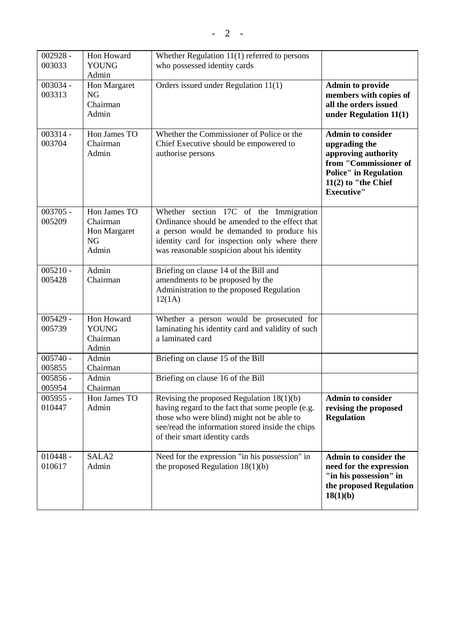| $002928 -$ | Hon Howard        | Whether Regulation 11(1) referred to persons      |                              |
|------------|-------------------|---------------------------------------------------|------------------------------|
| 003033     | <b>YOUNG</b>      | who possessed identity cards                      |                              |
|            | Admin             |                                                   |                              |
| 003034 -   | Hon Margaret      | Orders issued under Regulation 11(1)              | <b>Admin to provide</b>      |
| 003313     | <b>NG</b>         |                                                   | members with copies of       |
|            | Chairman          |                                                   | all the orders issued        |
|            | Admin             |                                                   | under Regulation $11(1)$     |
|            |                   |                                                   |                              |
| $003314 -$ | Hon James TO      | Whether the Commissioner of Police or the         | <b>Admin to consider</b>     |
| 003704     | Chairman          | Chief Executive should be empowered to            | upgrading the                |
|            | Admin             | authorise persons                                 | approving authority          |
|            |                   |                                                   | from "Commissioner of        |
|            |                   |                                                   | <b>Police"</b> in Regulation |
|            |                   |                                                   | $11(2)$ to "the Chief        |
|            |                   |                                                   | <b>Executive"</b>            |
|            |                   |                                                   |                              |
| $003705 -$ | Hon James TO      | Whether section 17C of the Immigration            |                              |
| 005209     | Chairman          | Ordinance should be amended to the effect that    |                              |
|            | Hon Margaret      | a person would be demanded to produce his         |                              |
|            | <b>NG</b>         | identity card for inspection only where there     |                              |
|            | Admin             | was reasonable suspicion about his identity       |                              |
|            |                   |                                                   |                              |
| $005210 -$ | Admin             | Briefing on clause 14 of the Bill and             |                              |
| 005428     | Chairman          | amendments to be proposed by the                  |                              |
|            |                   | Administration to the proposed Regulation         |                              |
|            |                   | 12(1A)                                            |                              |
|            |                   |                                                   |                              |
| $005429 -$ | Hon Howard        | Whether a person would be prosecuted for          |                              |
| 005739     | <b>YOUNG</b>      | laminating his identity card and validity of such |                              |
|            | Chairman          | a laminated card                                  |                              |
|            | Admin             |                                                   |                              |
| $005740 -$ | Admin             | Briefing on clause 15 of the Bill                 |                              |
| 005855     | Chairman          |                                                   |                              |
| $005856 -$ | Admin             | Briefing on clause 16 of the Bill                 |                              |
| 005954     | Chairman          |                                                   |                              |
| $005955 -$ | Hon James TO      | Revising the proposed Regulation $18(1)(b)$       | <b>Admin to consider</b>     |
| 010447     | Admin             | having regard to the fact that some people (e.g.  | revising the proposed        |
|            |                   | those who were blind) might not be able to        | <b>Regulation</b>            |
|            |                   | see/read the information stored inside the chips  |                              |
|            |                   | of their smart identity cards                     |                              |
|            |                   |                                                   |                              |
| $010448 -$ | SALA <sub>2</sub> | Need for the expression "in his possession" in    | <b>Admin to consider the</b> |
| 010617     | Admin             | the proposed Regulation $18(1)(b)$                | need for the expression      |
|            |                   |                                                   | "in his possession" in       |
|            |                   |                                                   | the proposed Regulation      |
|            |                   |                                                   | 18(1)(b)                     |
|            |                   |                                                   |                              |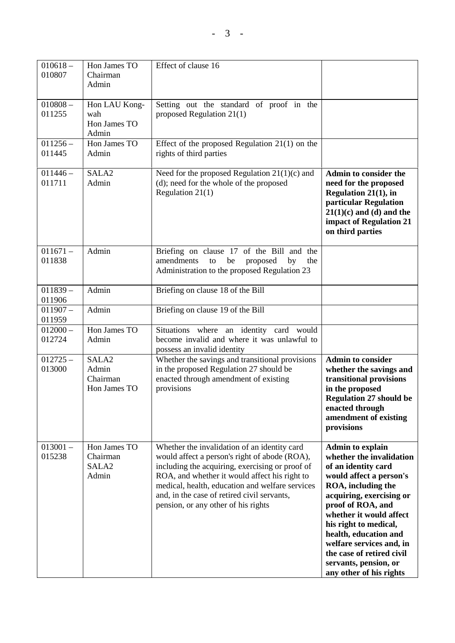| $010618 -$<br>010807 | Hon James TO<br>Chairman<br>Admin                      | Effect of clause 16                                                                                                                                                                                                                                                                                                                        |                                                                                                                                                                                                                                                                                                                                                                        |
|----------------------|--------------------------------------------------------|--------------------------------------------------------------------------------------------------------------------------------------------------------------------------------------------------------------------------------------------------------------------------------------------------------------------------------------------|------------------------------------------------------------------------------------------------------------------------------------------------------------------------------------------------------------------------------------------------------------------------------------------------------------------------------------------------------------------------|
| $010808 -$<br>011255 | Hon LAU Kong-<br>wah<br>Hon James TO<br>Admin          | Setting out the standard of proof in the<br>proposed Regulation 21(1)                                                                                                                                                                                                                                                                      |                                                                                                                                                                                                                                                                                                                                                                        |
| $011256 -$<br>011445 | Hon James TO<br>Admin                                  | Effect of the proposed Regulation $21(1)$ on the<br>rights of third parties                                                                                                                                                                                                                                                                |                                                                                                                                                                                                                                                                                                                                                                        |
| $011446 -$<br>011711 | SALA <sub>2</sub><br>Admin                             | Need for the proposed Regulation $21(1)(c)$ and<br>(d); need for the whole of the proposed<br>Regulation $21(1)$                                                                                                                                                                                                                           | <b>Admin to consider the</b><br>need for the proposed<br><b>Regulation 21(1), in</b><br>particular Regulation<br>$21(1)(c)$ and (d) and the<br>impact of Regulation 21<br>on third parties                                                                                                                                                                             |
| $011671 -$<br>011838 | Admin                                                  | Briefing on clause 17 of the Bill and the<br>amendments<br>be<br>proposed<br>to<br>by<br>the<br>Administration to the proposed Regulation 23                                                                                                                                                                                               |                                                                                                                                                                                                                                                                                                                                                                        |
| $011839 -$<br>011906 | Admin                                                  | Briefing on clause 18 of the Bill                                                                                                                                                                                                                                                                                                          |                                                                                                                                                                                                                                                                                                                                                                        |
| $011907 -$<br>011959 | Admin                                                  | Briefing on clause 19 of the Bill                                                                                                                                                                                                                                                                                                          |                                                                                                                                                                                                                                                                                                                                                                        |
| $012000 -$<br>012724 | Hon James TO<br>Admin                                  | Situations where an identity card would<br>become invalid and where it was unlawful to<br>possess an invalid identity                                                                                                                                                                                                                      |                                                                                                                                                                                                                                                                                                                                                                        |
| $012725 -$<br>013000 | SALA <sub>2</sub><br>Admin<br>Chairman<br>Hon James TO | Whether the savings and transitional provisions<br>in the proposed Regulation 27 should be<br>enacted through amendment of existing<br>provisions                                                                                                                                                                                          | <b>Admin to consider</b><br>whether the savings and<br>transitional provisions<br>in the proposed<br><b>Regulation 27 should be</b><br>enacted through<br>amendment of existing<br>provisions                                                                                                                                                                          |
| $013001 -$<br>015238 | Hon James TO<br>Chairman<br>SALA <sub>2</sub><br>Admin | Whether the invalidation of an identity card<br>would affect a person's right of abode (ROA),<br>including the acquiring, exercising or proof of<br>ROA, and whether it would affect his right to<br>medical, health, education and welfare services<br>and, in the case of retired civil servants,<br>pension, or any other of his rights | <b>Admin to explain</b><br>whether the invalidation<br>of an identity card<br>would affect a person's<br>ROA, including the<br>acquiring, exercising or<br>proof of ROA, and<br>whether it would affect<br>his right to medical,<br>health, education and<br>welfare services and, in<br>the case of retired civil<br>servants, pension, or<br>any other of his rights |